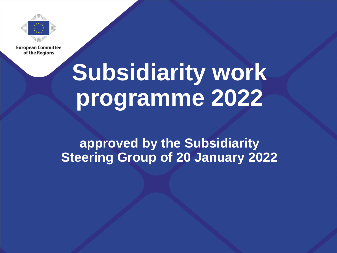

**European Committee** of the Regions

# **Subsidiarity work programme 2022**

## **approved by the Subsidiarity Steering Group of 20 January 2022**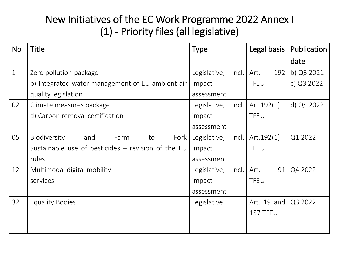#### New Initiatives of the EC Work Programme 2022 Annex I (1) - Priority files (all legislative)

| <b>No</b>    | Title                                                | <b>Type</b>             | Legal basis   | Publication |
|--------------|------------------------------------------------------|-------------------------|---------------|-------------|
|              |                                                      |                         |               | date        |
| $\mathbf{1}$ | Zero pollution package                               | Legislative,<br>incl.   | Art.<br>192   | b) Q3 2021  |
|              | b) Integrated water management of EU ambient air     | impact                  | <b>TFEU</b>   | c) Q3 2022  |
|              | quality legislation                                  | assessment              |               |             |
| 02           | Climate measures package                             | Legislative, incl.      | Art.192(1)    | d) Q4 2022  |
|              | d) Carbon removal certification                      | impact                  | <b>TFEU</b>   |             |
|              |                                                      | assessment              |               |             |
| 05           | <b>Biodiversity</b><br>and<br>Farm<br>Fork  <br>to   | Legislative, incl.      | Art. $192(1)$ | Q1 2022     |
|              | Sustainable use of pesticides $-$ revision of the EU | impact                  | <b>TFEU</b>   |             |
|              | rules                                                | assessment              |               |             |
| 12           | Multimodal digital mobility                          | incl.  <br>Legislative, | Art.<br>91    | Q4 2022     |
|              | services                                             | impact                  | <b>TFEU</b>   |             |
|              |                                                      | assessment              |               |             |
| 32           | <b>Equality Bodies</b>                               | Legislative             | Art. 19 and   | Q3 2022     |
|              |                                                      |                         | 157 TFEU      |             |
|              |                                                      |                         |               |             |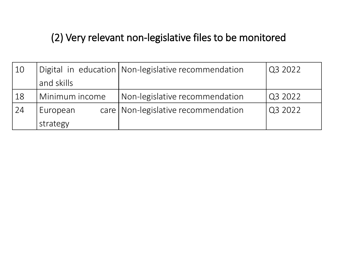### (2) Very relevant non-legislative files to be monitored

| 10 |                | Digital in education   Non-legislative recommendation | Q3 2022 |
|----|----------------|-------------------------------------------------------|---------|
|    | and skills     |                                                       |         |
| 18 | Minimum income | Non-legislative recommendation                        | Q3 2022 |
| 24 | European       | care   Non-legislative recommendation                 | Q3 2022 |
|    | strategy       |                                                       |         |